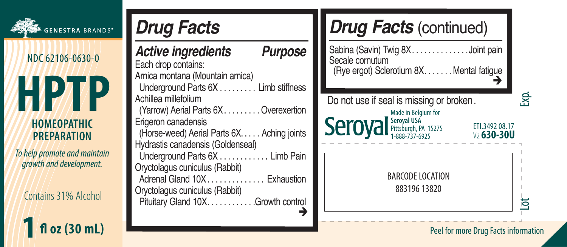| GENESTRA BRANDS*                                                                | <b>Drug Facts</b>                                                                                                                                                                   | <b>Drug Facts (continued)</b>                                                                                                                   |
|---------------------------------------------------------------------------------|-------------------------------------------------------------------------------------------------------------------------------------------------------------------------------------|-------------------------------------------------------------------------------------------------------------------------------------------------|
| NDC 62106-0630-0<br>יו                                                          | Purpose<br><b>Active ingredients</b><br>Each drop contains:<br>Arnica montana (Mountain arnica)<br>Limb stiffness<br>Underground Parts 6X.                                          | Sabina (Savin) Twig 8X<br>Joint pain<br>Secale cornutum<br>(Rye ergot) Sclerotium 8X. Mental fatigue                                            |
| <b>HOMEOPATHIC</b><br><b>PREPARATION</b>                                        | Achillea millefolium<br>(Yarrow) Aerial Parts 6X.<br>Overexertion<br>Erigeron canadensis<br>Aching joints<br>(Horse-weed) Aerial Parts 6X.<br>Hydrastis canadensis (Goldenseal)     | Ŕ.<br>Do not use if seal is missing or broken.<br>Made in Belgium for<br>Seroyal Seroyal USA<br>1-888-737-6925<br>ETI.3492 08.17<br>$v$ 630-30U |
| To help promote and maintain<br>growth and development.<br>Contains 31% Alcohol | Underground Parts 6X.<br>Limb Pain<br>Oryctolagus cuniculus (Rabbit)<br>Adrenal Gland 10X<br>Exhaustion<br>Oryctolagus cuniculus (Rabbit)<br>Pituitary Gland 10X<br>Growth control. | BARCODE LOCATION<br>88319613820<br>ਠ                                                                                                            |
| fl oz (30 mL)                                                                   |                                                                                                                                                                                     | Peel for more Drug Facts information                                                                                                            |